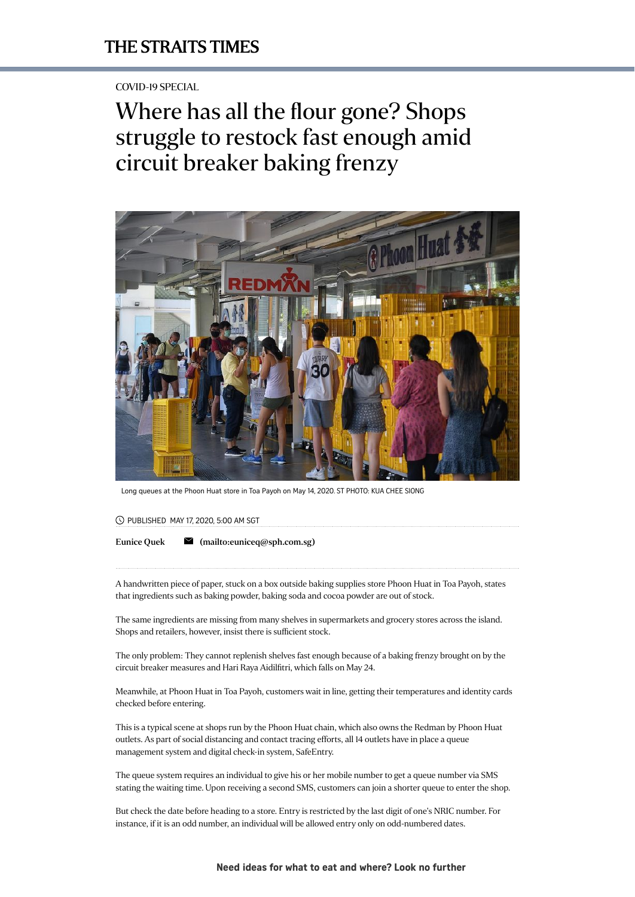## COVID-19 SPECIAL

# Where has all the flour gone? Shops struggle to restock fast enough amid circuit breaker baking frenzy



Long queues at the Phoon Huat store in Toa Payoh on May 14, 2020. ST PHOTO: KUA CHEE SIONG

#### PUBLISHED MAY 17, 2020, 5:00 AM SGT

[Eunice](https://www.straitstimes.com/authors/eunice-quek) Quek  $\blacksquare$  [\(mailto:euniceq@sph.com.sg\)](mailto:euniceq@sph.com.sg)

A handwritten piece of paper, stuck on a box outside baking supplies store Phoon Huat in Toa Payoh, states that ingredients such as baking powder, baking soda and cocoa powder are out of stock.

The same ingredients are missing from many shelves in supermarkets and grocery stores across the island. Shops and retailers, however, insist there is sufficient stock.

[The only problem: They cannot replenish shelves fast enough because of a baking frenzy brought on by the](https://www.straitstimes.com/singapore/coronavirus-timeline-on-what-is-allowed-with-the-easing-of-tightened-circuit-breaker) circuit breaker measures and Hari Raya Aidilfitri, which falls on May 24.

Meanwhile, at Phoon Huat in Toa Payoh, customers wait in line, getting their temperatures and identity cards checked before entering.

This is a typical scene at shops run by the Phoon Huat chain, which also owns the Redman by Phoon Huat outlets. As part of social distancing and contact tracing efforts, all 14 outlets have in place a queue management system and [digital check-in system, SafeEntry.](https://www.straitstimes.com/tech/safeentry-applications-surge-ahead-of-reopening-of-businesses)

The queue system requires an individual to give his or her mobile number to get a queue number via SMS stating the waiting time. Upon receiving a second SMS, customers can join a shorter queue to enter the shop.

But check the date before heading to a store. Entry is restricted by the last digit of [one's NRIC number.](https://www.straitstimes.com/singapore/going-to-a-mall-supermarket-or-wet-market-take-nric-with-you) For instance, if it is an odd number, an individual will be allowed entry only on odd-numbered dates.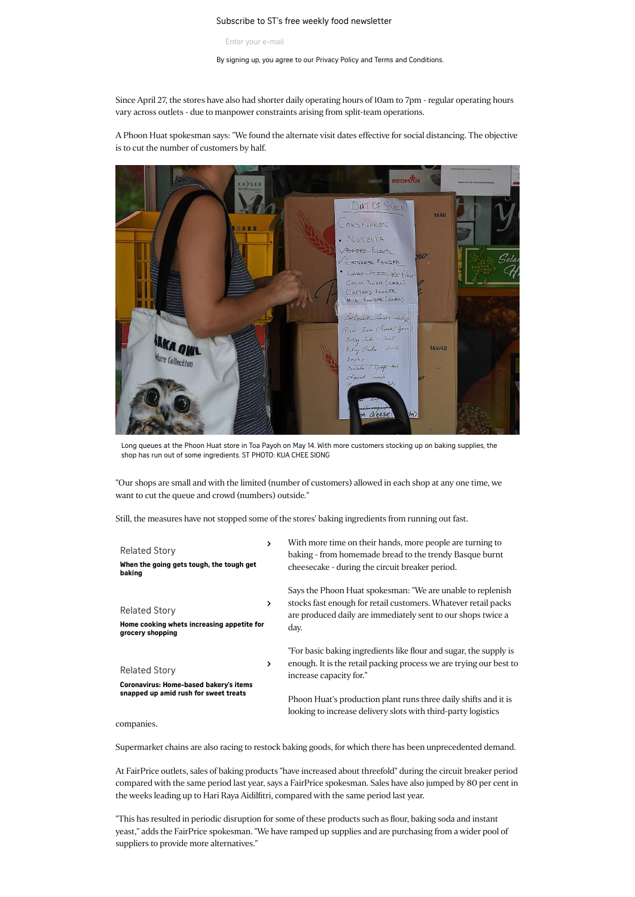#### Subscribe to ST's free weekly food newsletter baking free weekly food news better  $\frac{1}{2}$

Enter your e-mail

By signing up, you agree to our [Privacy](http://sph.com.sg/legal/sph_privacy.html) Policy and Terms and [Conditions.](http://sph.com.sg/legal/website_tnc.html)

Since April 27, the stores have also had shorter daily operating hours of 10am to 7pm - regular operating hours vary across outlets - due to manpower constraints arising from split-team operations.

A Phoon Huat spokesman says: "We found the alternate visit dates effective for social distancing. The objective is to cut the number of customers by half.



Long queues at the Phoon Huat store in Toa Payoh on May 14. With more customers stocking up on baking supplies, the shop has run out of some ingredients. ST PHOTO: KUA CHEE SIONG

"Our shops are small and with the limited (number of customers) allowed in each shop at any one time, we want to cut the queue and crowd (numbers) outside."

Still, the measures have not stopped some of the stores' baking ingredients from running out fast.

| <b>Related Story</b><br>When the going gets tough, the tough get<br>baking                              | > | With more time on their hands, more people are turning to<br>baking - from homemade bread to the trendy Basque burnt<br>cheesecake - during the circuit breaker period.                              |
|---------------------------------------------------------------------------------------------------------|---|------------------------------------------------------------------------------------------------------------------------------------------------------------------------------------------------------|
| <b>Related Story</b><br>Home cooking whets increasing appetite for<br>grocery shopping                  | ≻ | Says the Phoon Huat spokesman: "We are unable to replenish<br>stocks fast enough for retail customers. Whatever retail packs<br>are produced daily are immediately sent to our shops twice a<br>day. |
| <b>Related Story</b><br>Coronavirus: Home-based bakery's items<br>snapped up amid rush for sweet treats | ≻ | "For basic baking ingredients like flour and sugar, the supply is<br>enough. It is the retail packing process we are trying our best to<br>increase capacity for."                                   |
|                                                                                                         |   | Phoon Huat's production plant runs three daily shifts and it is<br>looking to increase delivery slots with third-party logistics                                                                     |

companies.

Supermarket chains are also racing to restock baking goods, for which there has been unprecedented demand.

At FairPrice outlets, sales of baking products "have increased about threefold" during the circuit breaker period compared with the same period last year, says a FairPrice spokesman. Sales have also jumped by 80 per cent in the weeks leading up to Hari Raya Aidilfitri, compared with the same period last year.

"This has resulted in periodic disruption for some of these products such as flour, baking soda and instant yeast," adds the FairPrice spokesman. "We have ramped up supplies and are purchasing from a wider pool of suppliers to provide more alternatives."